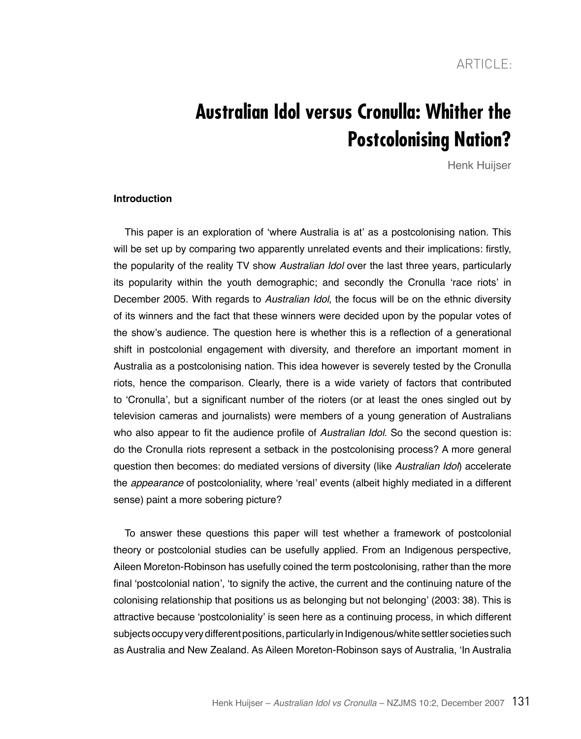ARTICLE<sup>.</sup>

# **Australian Idol versus Cronulla: Whither the Postcolonising Nation?**

Henk Huijser

#### **Introduction**

This paper is an exploration of 'where Australia is at' as a postcolonising nation. This will be set up by comparing two apparently unrelated events and their implications: firstly, the popularity of the reality TV show Australian Idol over the last three years, particularly its popularity within the youth demographic; and secondly the Cronulla 'race riots' in December 2005. With regards to Australian Idol, the focus will be on the ethnic diversity of its winners and the fact that these winners were decided upon by the popular votes of the show's audience. The question here is whether this is a reflection of a generational shift in postcolonial engagement with diversity, and therefore an important moment in Australia as a postcolonising nation. This idea however is severely tested by the Cronulla riots, hence the comparison. Clearly, there is a wide variety of factors that contributed to 'Cronulla', but a significant number of the rioters (or at least the ones singled out by television cameras and journalists) were members of a young generation of Australians who also appear to fit the audience profile of Australian Idol. So the second question is: do the Cronulla riots represent a setback in the postcolonising process? A more general question then becomes: do mediated versions of diversity (like Australian Idol) accelerate the *appearance* of postcoloniality, where 'real' events (albeit highly mediated in a different sense) paint a more sobering picture?

To answer these questions this paper will test whether a framework of postcolonial theory or postcolonial studies can be usefully applied. From an Indigenous perspective, Aileen Moreton-Robinson has usefully coined the term postcolonising, rather than the more final 'postcolonial nation', 'to signify the active, the current and the continuing nature of the colonising relationship that positions us as belonging but not belonging' (2003: 38). This is attractive because 'postcoloniality' is seen here as a continuing process, in which different subjects occupy very different positions, particularly in Indigenous/white settler societies such as Australia and New Zealand. As Aileen Moreton-Robinson says of Australia, 'In Australia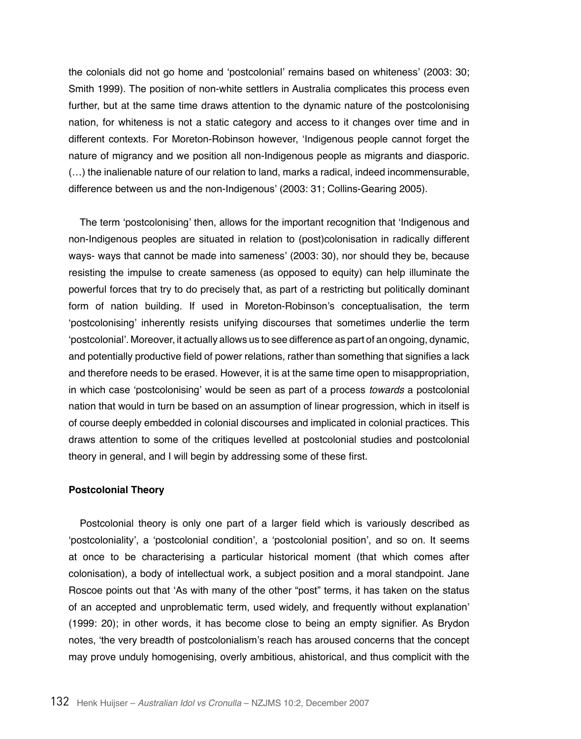the colonials did not go home and 'postcolonial' remains based on whiteness' (2003: 30; Smith 1999). The position of non-white settlers in Australia complicates this process even further, but at the same time draws attention to the dynamic nature of the postcolonising nation, for whiteness is not a static category and access to it changes over time and in different contexts. For Moreton-Robinson however, 'Indigenous people cannot forget the nature of migrancy and we position all non-Indigenous people as migrants and diasporic. (…) the inalienable nature of our relation to land, marks a radical, indeed incommensurable, difference between us and the non-Indigenous' (2003: 31; Collins-Gearing 2005).

The term 'postcolonising' then, allows for the important recognition that 'Indigenous and non-Indigenous peoples are situated in relation to (post)colonisation in radically different ways- ways that cannot be made into sameness' (2003: 30), nor should they be, because resisting the impulse to create sameness (as opposed to equity) can help illuminate the powerful forces that try to do precisely that, as part of a restricting but politically dominant form of nation building. If used in Moreton-Robinson's conceptualisation, the term 'postcolonising' inherently resists unifying discourses that sometimes underlie the term 'postcolonial'. Moreover, it actually allows us to see difference as part of an ongoing, dynamic, and potentially productive field of power relations, rather than something that signifies a lack and therefore needs to be erased. However, it is at the same time open to misappropriation, in which case 'postcolonising' would be seen as part of a process *towards* a postcolonial nation that would in turn be based on an assumption of linear progression, which in itself is of course deeply embedded in colonial discourses and implicated in colonial practices. This draws attention to some of the critiques levelled at postcolonial studies and postcolonial theory in general, and I will begin by addressing some of these first.

# **Postcolonial Theory**

Postcolonial theory is only one part of a larger field which is variously described as 'postcoloniality', a 'postcolonial condition', a 'postcolonial position', and so on. It seems at once to be characterising a particular historical moment (that which comes after colonisation), a body of intellectual work, a subject position and a moral standpoint. Jane Roscoe points out that 'As with many of the other "post" terms, it has taken on the status of an accepted and unproblematic term, used widely, and frequently without explanation' (1999: 20); in other words, it has become close to being an empty signifier. As Brydon notes, 'the very breadth of postcolonialism's reach has aroused concerns that the concept may prove unduly homogenising, overly ambitious, ahistorical, and thus complicit with the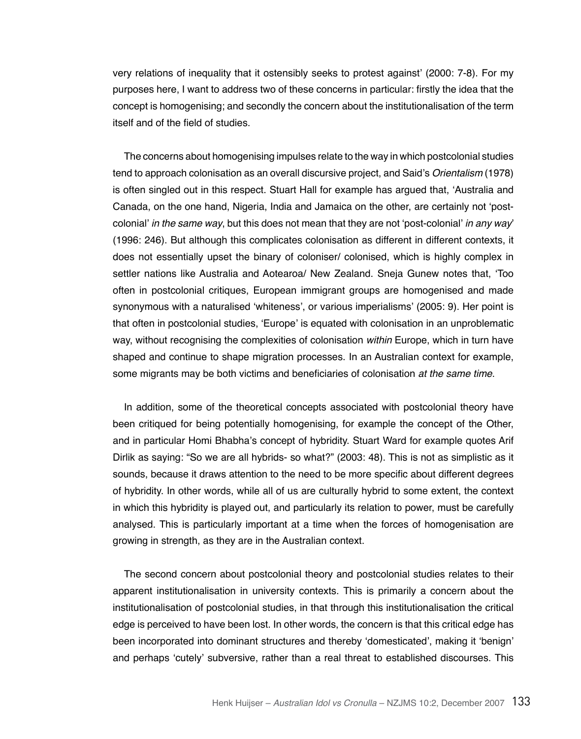very relations of inequality that it ostensibly seeks to protest against' (2000: 7-8). For my purposes here, I want to address two of these concerns in particular: firstly the idea that the concept is homogenising; and secondly the concern about the institutionalisation of the term itself and of the field of studies.

The concerns about homogenising impulses relate to the way in which postcolonial studies tend to approach colonisation as an overall discursive project, and Said's *Orientalism* (1978) is often singled out in this respect. Stuart Hall for example has argued that, 'Australia and Canada, on the one hand, Nigeria, India and Jamaica on the other, are certainly not 'postcolonial' in the same way, but this does not mean that they are not 'post-colonial' in any way' (1996: 246). But although this complicates colonisation as different in different contexts, it does not essentially upset the binary of coloniser/ colonised, which is highly complex in settler nations like Australia and Aotearoa/ New Zealand. Sneja Gunew notes that, 'Too often in postcolonial critiques, European immigrant groups are homogenised and made synonymous with a naturalised 'whiteness', or various imperialisms' (2005: 9). Her point is that often in postcolonial studies, 'Europe' is equated with colonisation in an unproblematic way, without recognising the complexities of colonisation *within* Europe, which in turn have shaped and continue to shape migration processes. In an Australian context for example, some migrants may be both victims and beneficiaries of colonisation *at the same time*.

In addition, some of the theoretical concepts associated with postcolonial theory have been critiqued for being potentially homogenising, for example the concept of the Other, and in particular Homi Bhabha's concept of hybridity. Stuart Ward for example quotes Arif Dirlik as saying: "So we are all hybrids- so what?" (2003: 48). This is not as simplistic as it sounds, because it draws attention to the need to be more specific about different degrees of hybridity. In other words, while all of us are culturally hybrid to some extent, the context in which this hybridity is played out, and particularly its relation to power, must be carefully analysed. This is particularly important at a time when the forces of homogenisation are growing in strength, as they are in the Australian context.

The second concern about postcolonial theory and postcolonial studies relates to their apparent institutionalisation in university contexts. This is primarily a concern about the institutionalisation of postcolonial studies, in that through this institutionalisation the critical edge is perceived to have been lost. In other words, the concern is that this critical edge has been incorporated into dominant structures and thereby 'domesticated', making it 'benign' and perhaps 'cutely' subversive, rather than a real threat to established discourses. This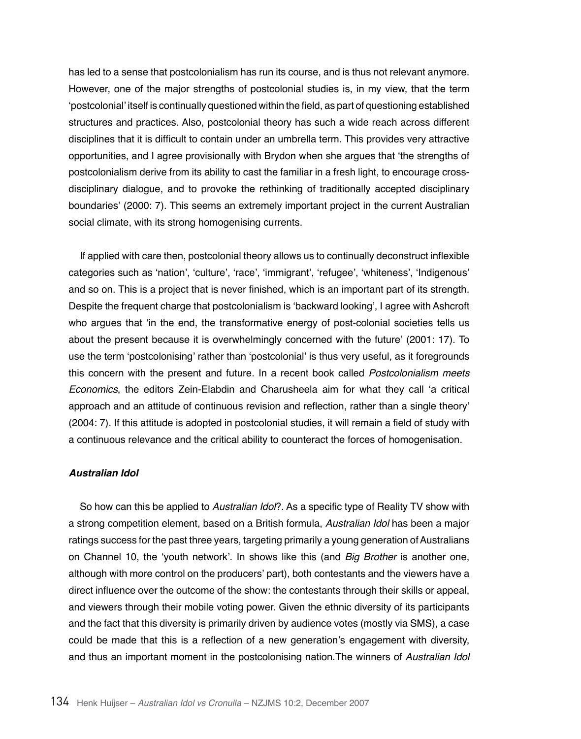has led to a sense that postcolonialism has run its course, and is thus not relevant anymore. However, one of the major strengths of postcolonial studies is, in my view, that the term 'postcolonial' itself is continually questioned within the field, as part of questioning established structures and practices. Also, postcolonial theory has such a wide reach across different disciplines that it is difficult to contain under an umbrella term. This provides very attractive opportunities, and I agree provisionally with Brydon when she argues that 'the strengths of postcolonialism derive from its ability to cast the familiar in a fresh light, to encourage crossdisciplinary dialogue, and to provoke the rethinking of traditionally accepted disciplinary boundaries' (2000: 7). This seems an extremely important project in the current Australian social climate, with its strong homogenising currents.

If applied with care then, postcolonial theory allows us to continually deconstruct inflexible categories such as 'nation', 'culture', 'race', 'immigrant', 'refugee', 'whiteness', 'Indigenous' and so on. This is a project that is never finished, which is an important part of its strength. Despite the frequent charge that postcolonialism is 'backward looking', I agree with Ashcroft who argues that 'in the end, the transformative energy of post-colonial societies tells us about the present because it is overwhelmingly concerned with the future' (2001: 17). To use the term 'postcolonising' rather than 'postcolonial' is thus very useful, as it foregrounds this concern with the present and future. In a recent book called Postcolonialism meets *Economics*, the editors Zein-Elabdin and Charusheela aim for what they call 'a critical approach and an attitude of continuous revision and reflection, rather than a single theory' (2004: 7). If this attitude is adopted in postcolonial studies, it will remain a field of study with a continuous relevance and the critical ability to counteract the forces of homogenisation.

## *Australian Idol*

So how can this be applied to *Australian Idol*?. As a specific type of Reality TV show with a strong competition element, based on a British formula, Australian Idol has been a major ratings success for the past three years, targeting primarily a young generation of Australians on Channel 10, the 'youth network'. In shows like this (and Big Brother is another one, although with more control on the producers' part), both contestants and the viewers have a direct influence over the outcome of the show: the contestants through their skills or appeal, and viewers through their mobile voting power. Given the ethnic diversity of its participants and the fact that this diversity is primarily driven by audience votes (mostly via SMS), a case could be made that this is a reflection of a new generation's engagement with diversity, and thus an important moment in the postcolonising nation.The winners of Australian Idol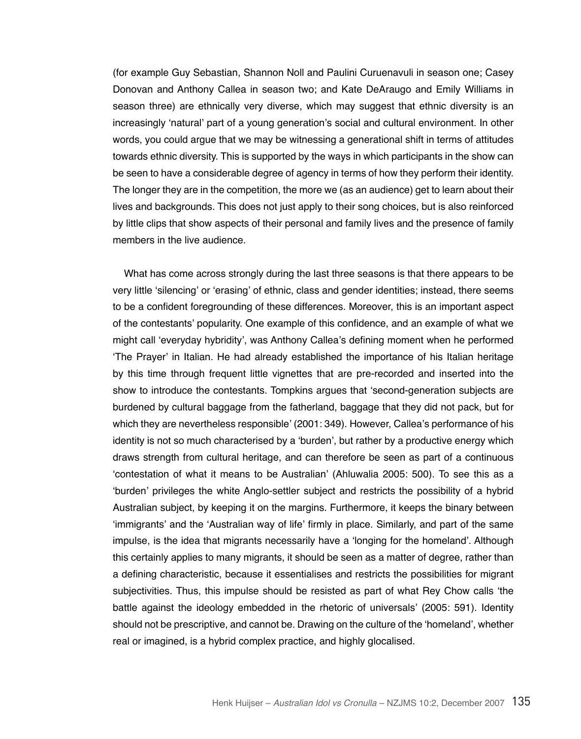(for example Guy Sebastian, Shannon Noll and Paulini Curuenavuli in season one; Casey Donovan and Anthony Callea in season two; and Kate DeAraugo and Emily Williams in season three) are ethnically very diverse, which may suggest that ethnic diversity is an increasingly 'natural' part of a young generation's social and cultural environment. In other words, you could argue that we may be witnessing a generational shift in terms of attitudes towards ethnic diversity. This is supported by the ways in which participants in the show can be seen to have a considerable degree of agency in terms of how they perform their identity. The longer they are in the competition, the more we (as an audience) get to learn about their lives and backgrounds. This does not just apply to their song choices, but is also reinforced by little clips that show aspects of their personal and family lives and the presence of family members in the live audience.

What has come across strongly during the last three seasons is that there appears to be very little 'silencing' or 'erasing' of ethnic, class and gender identities; instead, there seems to be a confident foregrounding of these differences. Moreover, this is an important aspect of the contestants' popularity. One example of this confidence, and an example of what we might call 'everyday hybridity', was Anthony Callea's defining moment when he performed 'The Prayer' in Italian. He had already established the importance of his Italian heritage by this time through frequent little vignettes that are pre-recorded and inserted into the show to introduce the contestants. Tompkins argues that 'second-generation subjects are burdened by cultural baggage from the fatherland, baggage that they did not pack, but for which they are nevertheless responsible' (2001: 349). However, Callea's performance of his identity is not so much characterised by a 'burden', but rather by a productive energy which draws strength from cultural heritage, and can therefore be seen as part of a continuous 'contestation of what it means to be Australian' (Ahluwalia 2005: 500). To see this as a 'burden' privileges the white Anglo-settler subject and restricts the possibility of a hybrid Australian subject, by keeping it on the margins. Furthermore, it keeps the binary between 'immigrants' and the 'Australian way of life' firmly in place. Similarly, and part of the same impulse, is the idea that migrants necessarily have a 'longing for the homeland'. Although this certainly applies to many migrants, it should be seen as a matter of degree, rather than a defining characteristic, because it essentialises and restricts the possibilities for migrant subjectivities. Thus, this impulse should be resisted as part of what Rey Chow calls 'the battle against the ideology embedded in the rhetoric of universals' (2005: 591). Identity should not be prescriptive, and cannot be. Drawing on the culture of the 'homeland', whether real or imagined, is a hybrid complex practice, and highly glocalised.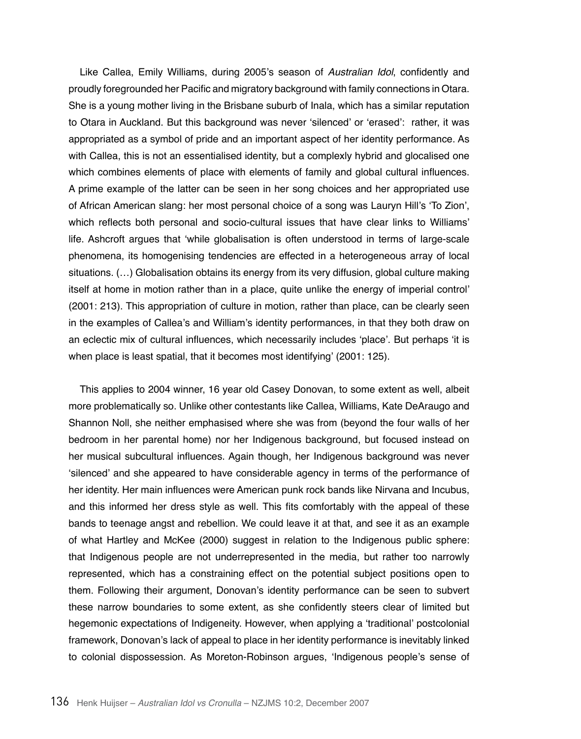Like Callea, Emily Williams, during 2005's season of Australian Idol, confidently and proudly foregrounded her Pacific and migratory background with family connections in Otara. She is a young mother living in the Brisbane suburb of Inala, which has a similar reputation to Otara in Auckland. But this background was never 'silenced' or 'erased': rather, it was appropriated as a symbol of pride and an important aspect of her identity performance. As with Callea, this is not an essentialised identity, but a complexly hybrid and glocalised one which combines elements of place with elements of family and global cultural influences. A prime example of the latter can be seen in her song choices and her appropriated use of African American slang: her most personal choice of a song was Lauryn Hill's 'To Zion', which reflects both personal and socio-cultural issues that have clear links to Williams' life. Ashcroft argues that 'while globalisation is often understood in terms of large-scale phenomena, its homogenising tendencies are effected in a heterogeneous array of local situations. (…) Globalisation obtains its energy from its very diffusion, global culture making itself at home in motion rather than in a place, quite unlike the energy of imperial control' (2001: 213). This appropriation of culture in motion, rather than place, can be clearly seen in the examples of Callea's and William's identity performances, in that they both draw on an eclectic mix of cultural influences, which necessarily includes 'place'. But perhaps 'it is when place is least spatial, that it becomes most identifying' (2001: 125).

This applies to 2004 winner, 16 year old Casey Donovan, to some extent as well, albeit more problematically so. Unlike other contestants like Callea, Williams, Kate DeAraugo and Shannon Noll, she neither emphasised where she was from (beyond the four walls of her bedroom in her parental home) nor her Indigenous background, but focused instead on her musical subcultural influences. Again though, her Indigenous background was never 'silenced' and she appeared to have considerable agency in terms of the performance of her identity. Her main influences were American punk rock bands like Nirvana and Incubus, and this informed her dress style as well. This fits comfortably with the appeal of these bands to teenage angst and rebellion. We could leave it at that, and see it as an example of what Hartley and McKee (2000) suggest in relation to the Indigenous public sphere: that Indigenous people are not underrepresented in the media, but rather too narrowly represented, which has a constraining effect on the potential subject positions open to them. Following their argument, Donovan's identity performance can be seen to subvert these narrow boundaries to some extent, as she confidently steers clear of limited but hegemonic expectations of Indigeneity. However, when applying a 'traditional' postcolonial framework, Donovan's lack of appeal to place in her identity performance is inevitably linked to colonial dispossession. As Moreton-Robinson argues, 'Indigenous people's sense of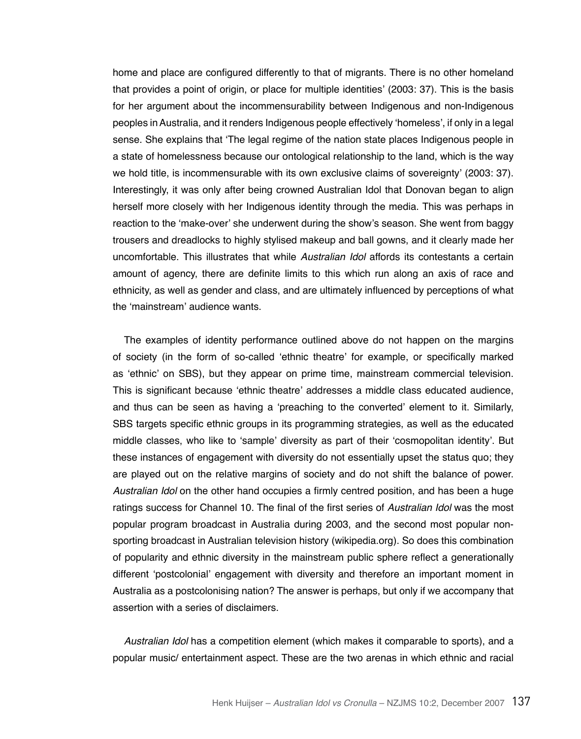home and place are configured differently to that of migrants. There is no other homeland that provides a point of origin, or place for multiple identities' (2003: 37). This is the basis for her argument about the incommensurability between Indigenous and non-Indigenous peoples in Australia, and it renders Indigenous people effectively 'homeless', if only in a legal sense. She explains that 'The legal regime of the nation state places Indigenous people in a state of homelessness because our ontological relationship to the land, which is the way we hold title, is incommensurable with its own exclusive claims of sovereignty' (2003: 37). Interestingly, it was only after being crowned Australian Idol that Donovan began to align herself more closely with her Indigenous identity through the media. This was perhaps in reaction to the 'make-over' she underwent during the show's season. She went from baggy trousers and dreadlocks to highly stylised makeup and ball gowns, and it clearly made her uncomfortable. This illustrates that while Australian Idol affords its contestants a certain amount of agency, there are definite limits to this which run along an axis of race and ethnicity, as well as gender and class, and are ultimately influenced by perceptions of what the 'mainstream' audience wants.

The examples of identity performance outlined above do not happen on the margins of society (in the form of so-called 'ethnic theatre' for example, or specifically marked as 'ethnic' on SBS), but they appear on prime time, mainstream commercial television. This is significant because 'ethnic theatre' addresses a middle class educated audience, and thus can be seen as having a 'preaching to the converted' element to it. Similarly, SBS targets specific ethnic groups in its programming strategies, as well as the educated middle classes, who like to 'sample' diversity as part of their 'cosmopolitan identity'. But these instances of engagement with diversity do not essentially upset the status quo; they are played out on the relative margins of society and do not shift the balance of power. Australian Idol on the other hand occupies a firmly centred position, and has been a huge ratings success for Channel 10. The final of the first series of Australian Idol was the most popular program broadcast in Australia during 2003, and the second most popular nonsporting broadcast in Australian television history (wikipedia.org). So does this combination of popularity and ethnic diversity in the mainstream public sphere reflect a generationally different 'postcolonial' engagement with diversity and therefore an important moment in Australia as a postcolonising nation? The answer is perhaps, but only if we accompany that assertion with a series of disclaimers.

Australian Idol has a competition element (which makes it comparable to sports), and a popular music/ entertainment aspect. These are the two arenas in which ethnic and racial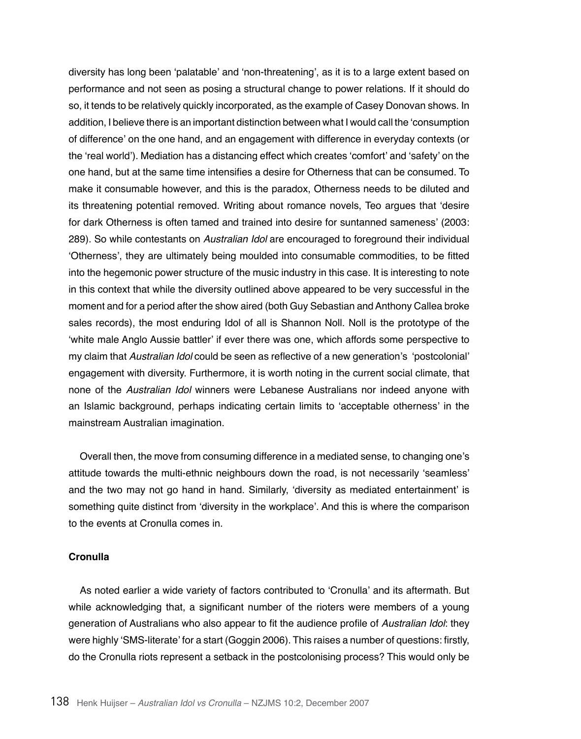diversity has long been 'palatable' and 'non-threatening', as it is to a large extent based on performance and not seen as posing a structural change to power relations. If it should do so, it tends to be relatively quickly incorporated, as the example of Casey Donovan shows. In addition, I believe there is an important distinction between what I would call the 'consumption of difference' on the one hand, and an engagement with difference in everyday contexts (or the 'real world'). Mediation has a distancing effect which creates 'comfort' and 'safety' on the one hand, but at the same time intensifies a desire for Otherness that can be consumed. To make it consumable however, and this is the paradox, Otherness needs to be diluted and its threatening potential removed. Writing about romance novels, Teo argues that 'desire for dark Otherness is often tamed and trained into desire for suntanned sameness' (2003: 289). So while contestants on Australian Idol are encouraged to foreground their individual 'Otherness', they are ultimately being moulded into consumable commodities, to be fitted into the hegemonic power structure of the music industry in this case. It is interesting to note in this context that while the diversity outlined above appeared to be very successful in the moment and for a period after the show aired (both Guy Sebastian and Anthony Callea broke sales records), the most enduring Idol of all is Shannon Noll. Noll is the prototype of the 'white male Anglo Aussie battler' if ever there was one, which affords some perspective to my claim that Australian Idol could be seen as reflective of a new generation's 'postcolonial' engagement with diversity. Furthermore, it is worth noting in the current social climate, that none of the Australian Idol winners were Lebanese Australians nor indeed anyone with an Islamic background, perhaps indicating certain limits to 'acceptable otherness' in the mainstream Australian imagination.

Overall then, the move from consuming difference in a mediated sense, to changing one's attitude towards the multi-ethnic neighbours down the road, is not necessarily 'seamless' and the two may not go hand in hand. Similarly, 'diversity as mediated entertainment' is something quite distinct from 'diversity in the workplace'. And this is where the comparison to the events at Cronulla comes in.

## **Cronulla**

As noted earlier a wide variety of factors contributed to 'Cronulla' and its aftermath. But while acknowledging that, a significant number of the rioters were members of a young generation of Australians who also appear to fit the audience profile of Australian Idol: they were highly 'SMS-literate' for a start (Goggin 2006). This raises a number of questions: firstly, do the Cronulla riots represent a setback in the postcolonising process? This would only be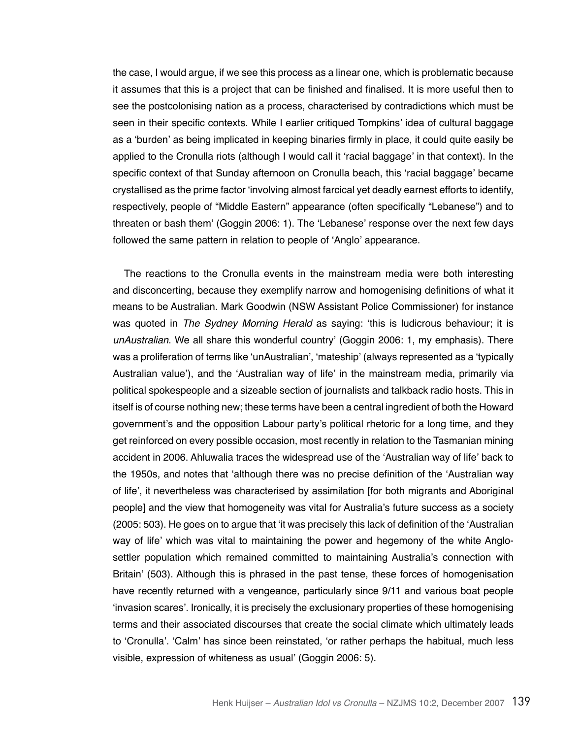the case, I would argue, if we see this process as a linear one, which is problematic because it assumes that this is a project that can be finished and finalised. It is more useful then to see the postcolonising nation as a process, characterised by contradictions which must be seen in their specific contexts. While I earlier critiqued Tompkins' idea of cultural baggage as a 'burden' as being implicated in keeping binaries firmly in place, it could quite easily be applied to the Cronulla riots (although I would call it 'racial baggage' in that context). In the specific context of that Sunday afternoon on Cronulla beach, this 'racial baggage' became crystallised as the prime factor 'involving almost farcical yet deadly earnest efforts to identify, respectively, people of "Middle Eastern" appearance (often specifically "Lebanese") and to threaten or bash them' (Goggin 2006: 1). The 'Lebanese' response over the next few days followed the same pattern in relation to people of 'Anglo' appearance.

The reactions to the Cronulla events in the mainstream media were both interesting and disconcerting, because they exemplify narrow and homogenising definitions of what it means to be Australian. Mark Goodwin (NSW Assistant Police Commissioner) for instance was quoted in *The* Sydney Morning Herald as saying: 'this is ludicrous behaviour; it is unAustralian. We all share this wonderful country' (Goggin 2006: 1, my emphasis). There was a proliferation of terms like 'unAustralian', 'mateship' (always represented as a 'typically Australian value'), and the 'Australian way of life' in the mainstream media, primarily via political spokespeople and a sizeable section of journalists and talkback radio hosts. This in itself is of course nothing new; these terms have been a central ingredient of both the Howard government's and the opposition Labour party's political rhetoric for a long time, and they get reinforced on every possible occasion, most recently in relation to the Tasmanian mining accident in 2006. Ahluwalia traces the widespread use of the 'Australian way of life' back to the 1950s, and notes that 'although there was no precise definition of the 'Australian way of life', it nevertheless was characterised by assimilation [for both migrants and Aboriginal people] and the view that homogeneity was vital for Australia's future success as a society (2005: 503). He goes on to argue that 'it was precisely this lack of definition of the 'Australian way of life' which was vital to maintaining the power and hegemony of the white Anglosettler population which remained committed to maintaining Australia's connection with Britain' (503). Although this is phrased in the past tense, these forces of homogenisation have recently returned with a vengeance, particularly since 9/11 and various boat people 'invasion scares'. Ironically, it is precisely the exclusionary properties of these homogenising terms and their associated discourses that create the social climate which ultimately leads to 'Cronulla'. 'Calm' has since been reinstated, 'or rather perhaps the habitual, much less visible, expression of whiteness as usual' (Goggin 2006: 5).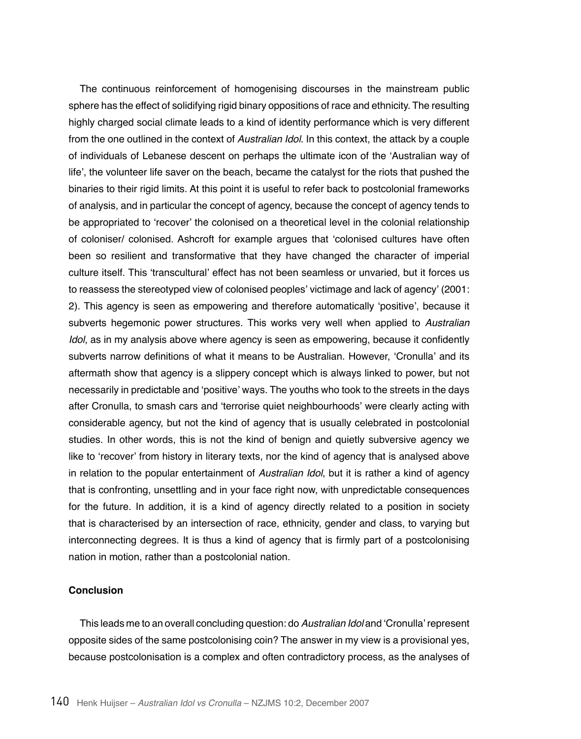The continuous reinforcement of homogenising discourses in the mainstream public sphere has the effect of solidifying rigid binary oppositions of race and ethnicity. The resulting highly charged social climate leads to a kind of identity performance which is very different from the one outlined in the context of Australian Idol. In this context, the attack by a couple of individuals of Lebanese descent on perhaps the ultimate icon of the 'Australian way of life', the volunteer life saver on the beach, became the catalyst for the riots that pushed the binaries to their rigid limits. At this point it is useful to refer back to postcolonial frameworks of analysis, and in particular the concept of agency, because the concept of agency tends to be appropriated to 'recover' the colonised on a theoretical level in the colonial relationship of coloniser/ colonised. Ashcroft for example argues that 'colonised cultures have often been so resilient and transformative that they have changed the character of imperial culture itself. This 'transcultural' effect has not been seamless or unvaried, but it forces us to reassess the stereotyped view of colonised peoples' victimage and lack of agency' (2001: 2). This agency is seen as empowering and therefore automatically 'positive', because it subverts hegemonic power structures. This works very well when applied to Australian Idol, as in my analysis above where agency is seen as empowering, because it confidently subverts narrow definitions of what it means to be Australian. However, 'Cronulla' and its aftermath show that agency is a slippery concept which is always linked to power, but not necessarily in predictable and 'positive' ways. The youths who took to the streets in the days after Cronulla, to smash cars and 'terrorise quiet neighbourhoods' were clearly acting with considerable agency, but not the kind of agency that is usually celebrated in postcolonial studies. In other words, this is not the kind of benign and quietly subversive agency we like to 'recover' from history in literary texts, nor the kind of agency that is analysed above in relation to the popular entertainment of Australian Idol, but it is rather a kind of agency that is confronting, unsettling and in your face right now, with unpredictable consequences for the future. In addition, it is a kind of agency directly related to a position in society that is characterised by an intersection of race, ethnicity, gender and class, to varying but interconnecting degrees. It is thus a kind of agency that is firmly part of a postcolonising nation in motion, rather than a postcolonial nation.

# **Conclusion**

This leads me to an overall concluding question: do Australian Idol and 'Cronulla' represent opposite sides of the same postcolonising coin? The answer in my view is a provisional yes, because postcolonisation is a complex and often contradictory process, as the analyses of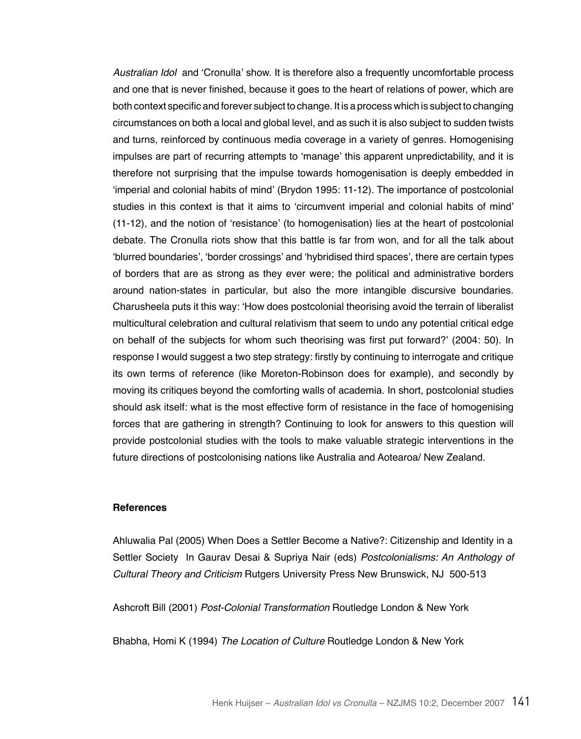Australian Idol and 'Cronulla' show. It is therefore also a frequently uncomfortable process and one that is never finished, because it goes to the heart of relations of power, which are both context specific and forever subject to change. It is a process which is subject to changing circumstances on both a local and global level, and as such it is also subject to sudden twists and turns, reinforced by continuous media coverage in a variety of genres. Homogenising impulses are part of recurring attempts to 'manage' this apparent unpredictability, and it is therefore not surprising that the impulse towards homogenisation is deeply embedded in 'imperial and colonial habits of mind' (Brydon 1995: 11-12). The importance of postcolonial studies in this context is that it aims to 'circumvent imperial and colonial habits of mind' (11-12), and the notion of 'resistance' (to homogenisation) lies at the heart of postcolonial debate. The Cronulla riots show that this battle is far from won, and for all the talk about 'blurred boundaries', 'border crossings' and 'hybridised third spaces', there are certain types of borders that are as strong as they ever were; the political and administrative borders around nation-states in particular, but also the more intangible discursive boundaries. Charusheela puts it this way: 'How does postcolonial theorising avoid the terrain of liberalist multicultural celebration and cultural relativism that seem to undo any potential critical edge on behalf of the subjects for whom such theorising was first put forward?' (2004: 50). In response I would suggest a two step strategy: firstly by continuing to interrogate and critique its own terms of reference (like Moreton-Robinson does for example), and secondly by moving its critiques beyond the comforting walls of academia. In short, postcolonial studies should ask itself: what is the most effective form of resistance in the face of homogenising forces that are gathering in strength? Continuing to look for answers to this question will provide postcolonial studies with the tools to make valuable strategic interventions in the future directions of postcolonising nations like Australia and Aotearoa/ New Zealand.

### **References**

Ahluwalia Pal (2005) When Does a Settler Become a Native?: Citizenship and Identity in a Settler Society In Gaurav Desai & Supriya Nair (eds) Postcolonialisms: An Anthology of Cultural Theory and Criticism Rutgers University Press New Brunswick, NJ 500-513

Ashcroft Bill (2001) Post-Colonial Transformation Routledge London & New York

Bhabha, Homi K (1994) *The Location of Culture* Routledge London & New York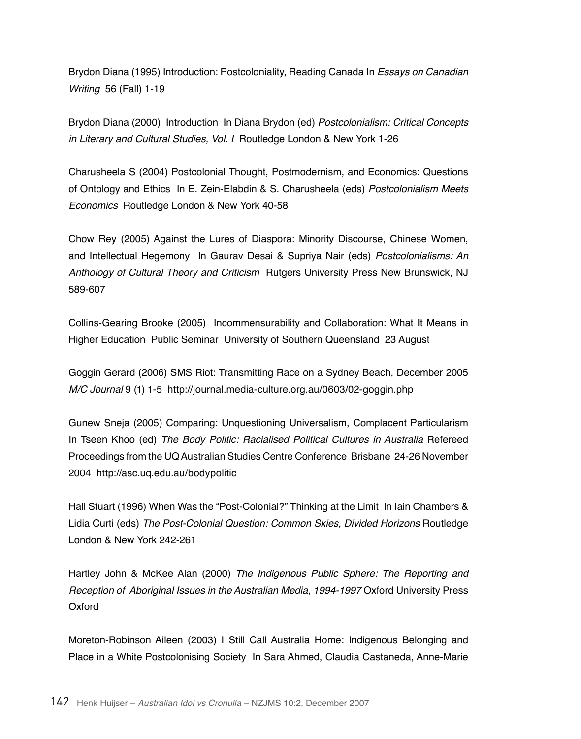Brydon Diana (1995) Introduction: Postcoloniality, Reading Canada In Essays on Canadian Writing 56 (Fall) 1-19

Brydon Diana (2000) Introduction In Diana Brydon (ed) Postcolonialism: Critical Concepts in Literary and Cultural Studies, Vol. I Routledge London & New York 1-26

Charusheela S (2004) Postcolonial Thought, Postmodernism, and Economics: Questions of Ontology and Ethics In E. Zein-Elabdin & S. Charusheela (eds) Postcolonialism *Meets Economics* Routledge London & New York 40-58

Chow Rey (2005) Against the Lures of Diaspora: Minority Discourse, Chinese Women, and Intellectual Hegemony In Gaurav Desai & Supriya Nair (eds) Postcolonialisms: An Anthology of Cultural Theory and Criticism Rutgers University Press New Brunswick, NJ 589-607

Collins-Gearing Brooke (2005) Incommensurability and Collaboration: What It Means in Higher Education Public Seminar University of Southern Queensland 23 August

Goggin Gerard (2006) SMS Riot: Transmitting Race on a Sydney Beach, December 2005 M/C Journal 9 (1) 1-5 http://journal.media-culture.org.au/0603/02-goggin.php

Gunew Sneja (2005) Comparing: Unquestioning Universalism, Complacent Particularism In Tseen Khoo (ed) The Body Politic: Racialised Political Cultures in Australia Refereed Proceedings from the UQ Australian Studies Centre Conference Brisbane 24-26 November 2004 http://asc.uq.edu.au/bodypolitic

Hall Stuart (1996) When Was the "Post-Colonial?" Thinking at the Limit In Iain Chambers & Lidia Curti (eds) The Post-Colonial Question: Common Skies, Divided Horizons Routledge London & New York 242-261

Hartley John & McKee Alan (2000) The Indigenous Public Sphere: The Reporting and Reception of Aboriginal Issues in the Australian Media, 1994-1997 Oxford University Press Oxford

Moreton-Robinson Aileen (2003) I Still Call Australia Home: Indigenous Belonging and Place in a White Postcolonising Society In Sara Ahmed, Claudia Castaneda, Anne-Marie